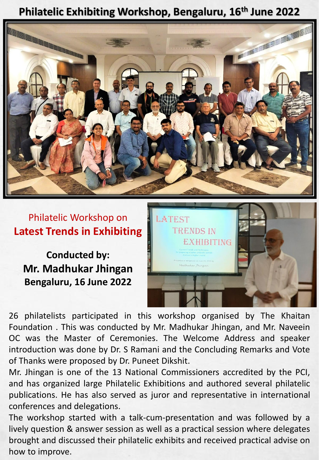## **Philatelic Exhibiting Workshop, Bengaluru, 16th June 2022**



## Philatelic Workshop on **Latest Trends in Exhibiting**

**Conducted by: Mr. Madhukar Jhingan Bengaluru, 16 June 2022**



26 philatelists participated in this workshop organised by The Khaitan Foundation . This was conducted by Mr. Madhukar Jhingan, and Mr. Naveein OC was the Master of Ceremonies. The Welcome Address and speaker introduction was done by Dr. S Ramani and the Concluding Remarks and Vote of Thanks were proposed by Dr. Puneet Dikshit.

Mr. Jhingan is one of the 13 National Commissioners accredited by the PCI, and has organized large Philatelic Exhibitions and authored several philatelic publications. He has also served as juror and representative in international conferences and delegations.

The workshop started with a talk-cum-presentation and was followed by a lively question & answer session as well as a practical session where delegates brought and discussed their philatelic exhibits and received practical advise on how to improve.